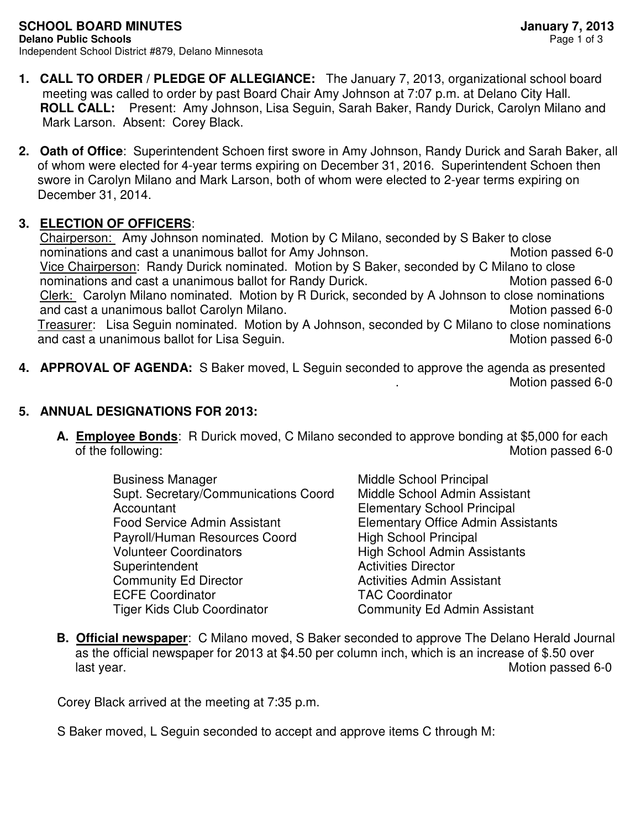- **1. CALL TO ORDER / PLEDGE OF ALLEGIANCE:** The January 7, 2013, organizational school board meeting was called to order by past Board Chair Amy Johnson at 7:07 p.m. at Delano City Hall.  **ROLL CALL:** Present: Amy Johnson, Lisa Seguin, Sarah Baker, Randy Durick, Carolyn Milano and Mark Larson. Absent: Corey Black.
- **2. Oath of Office**: Superintendent Schoen first swore in Amy Johnson, Randy Durick and Sarah Baker, all of whom were elected for 4-year terms expiring on December 31, 2016. Superintendent Schoen then swore in Carolyn Milano and Mark Larson, both of whom were elected to 2-year terms expiring on December 31, 2014.

## **3. ELECTION OF OFFICERS**:

 Chairperson: Amy Johnson nominated. Motion by C Milano, seconded by S Baker to close nominations and cast a unanimous ballot for Amy Johnson. Motion passed 6-0 Vice Chairperson: Randy Durick nominated. Motion by S Baker, seconded by C Milano to close nominations and cast a unanimous ballot for Randy Durick. Motion passed 6-0 Clerk: Carolyn Milano nominated. Motion by R Durick, seconded by A Johnson to close nominations and cast a unanimous ballot Carolyn Milano. And the matter of the Motion passed 6-0 Treasurer: Lisa Seguin nominated. Motion by A Johnson, seconded by C Milano to close nominations and cast a unanimous ballot for Lisa Seguin. And the matter of the Motion passed 6-0

**4. APPROVAL OF AGENDA:** S Baker moved, L Seguin seconded to approve the agenda as presented Motion passed 6-0

## **5. ANNUAL DESIGNATIONS FOR 2013:**

- **A. Employee Bonds**: R Durick moved, C Milano seconded to approve bonding at \$5,000 for each of the following: Motion passed 6-0
	- Business Manager Middle School Principal Supt. Secretary/Communications Coord Middle School Admin Assistant Accountant Elementary School Principal Food Service Admin Assistant Elementary Office Admin Assistants Payroll/Human Resources Coord High School Principal Volunteer Coordinators **High School Admin Assistants** Superintendent **Activities** Director Community Ed Director **Activities Admin Assistant**  ECFE Coordinator TAC Coordinator Tiger Kids Club Coordinator **Community Ed Admin Assistant**

**B. Official newspaper**: C Milano moved, S Baker seconded to approve The Delano Herald Journal as the official newspaper for 2013 at \$4.50 per column inch, which is an increase of \$.50 over last year. Motion passed 6-0

Corey Black arrived at the meeting at 7:35 p.m.

S Baker moved, L Seguin seconded to accept and approve items C through M: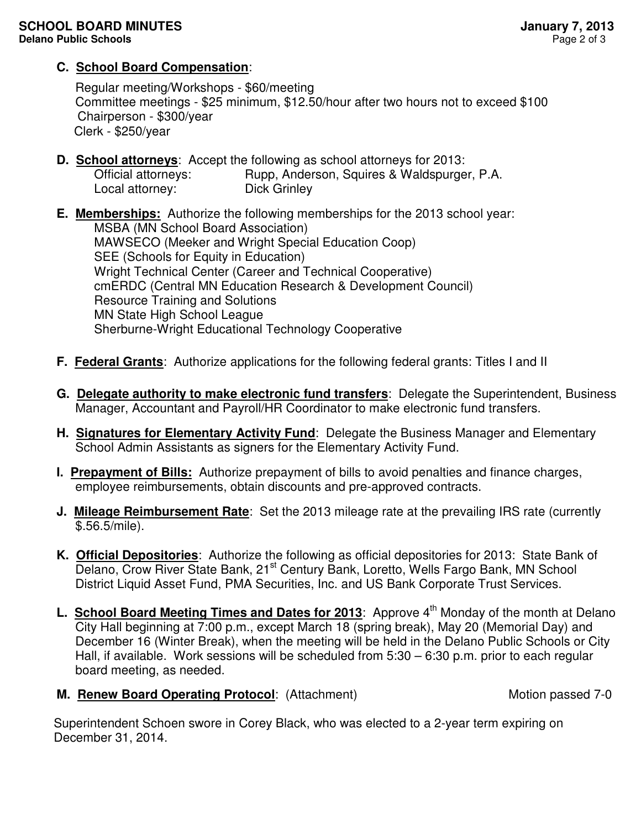## **C. School Board Compensation**:

Regular meeting/Workshops - \$60/meeting Committee meetings - \$25 minimum, \$12.50/hour after two hours not to exceed \$100 Chairperson - \$300/year Clerk - \$250/year

**D. School attorneys**: Accept the following as school attorneys for 2013:

Official attorneys: Rupp, Anderson, Squires & Waldspurger, P.A. Local attorney: Dick Grinley

**E. Memberships:** Authorize the following memberships for the 2013 school year: MSBA (MN School Board Association) MAWSECO (Meeker and Wright Special Education Coop) SEE (Schools for Equity in Education) Wright Technical Center (Career and Technical Cooperative) cmERDC (Central MN Education Research & Development Council) Resource Training and Solutions MN State High School League Sherburne-Wright Educational Technology Cooperative

- **F. Federal Grants**: Authorize applications for the following federal grants: Titles I and II
- **G. Delegate authority to make electronic fund transfers**: Delegate the Superintendent, Business Manager, Accountant and Payroll/HR Coordinator to make electronic fund transfers.
- **H. Signatures for Elementary Activity Fund**: Delegate the Business Manager and Elementary School Admin Assistants as signers for the Elementary Activity Fund.
- **I. Prepayment of Bills:** Authorize prepayment of bills to avoid penalties and finance charges, employee reimbursements, obtain discounts and pre-approved contracts.
- **J. Mileage Reimbursement Rate**: Set the 2013 mileage rate at the prevailing IRS rate (currently \$.56.5/mile).
- **K. Official Depositories**: Authorize the following as official depositories for 2013: State Bank of Delano, Crow River State Bank, 21<sup>st</sup> Century Bank, Loretto, Wells Fargo Bank, MN School District Liquid Asset Fund, PMA Securities, Inc. and US Bank Corporate Trust Services.
- **L. School Board Meeting Times and Dates for 2013**: Approve 4<sup>th</sup> Monday of the month at Delano City Hall beginning at 7:00 p.m., except March 18 (spring break), May 20 (Memorial Day) and December 16 (Winter Break), when the meeting will be held in the Delano Public Schools or City Hall, if available. Work sessions will be scheduled from 5:30 – 6:30 p.m. prior to each regular board meeting, as needed.
- **M. Renew Board Operating Protocol:** (Attachment) Motion passed 7-0

 Superintendent Schoen swore in Corey Black, who was elected to a 2-year term expiring on December 31, 2014.